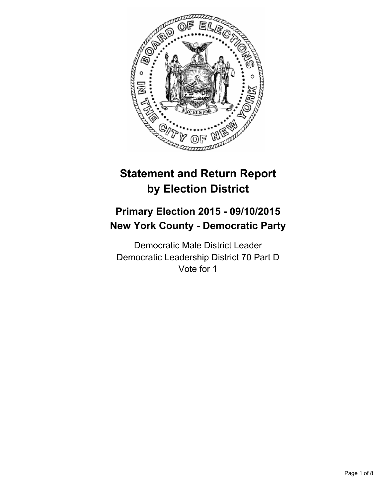

# **Statement and Return Report by Election District**

# **Primary Election 2015 - 09/10/2015 New York County - Democratic Party**

Democratic Male District Leader Democratic Leadership District 70 Part D Vote for 1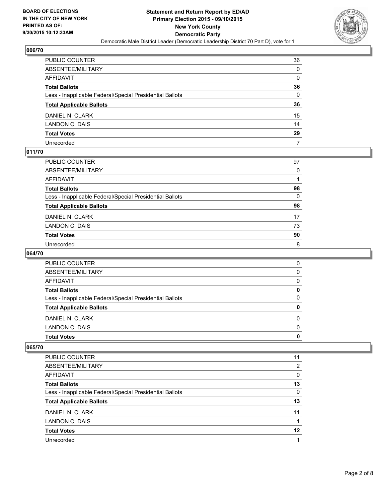

| PUBLIC COUNTER                                           | 36               |
|----------------------------------------------------------|------------------|
| ABSENTEE/MILITARY                                        | $\Omega$         |
| AFFIDAVIT                                                | 0                |
| Total Ballots                                            | 36               |
| Less - Inapplicable Federal/Special Presidential Ballots | $\Omega$         |
| <b>Total Applicable Ballots</b>                          | 36               |
| DANIEL N. CLARK                                          | 15 <sup>15</sup> |
| LANDON C. DAIS                                           | 14               |
| <b>Total Votes</b>                                       | 29               |
| Unrecorded                                               | 7                |

# **011/70**

| PUBLIC COUNTER                                           | 97       |
|----------------------------------------------------------|----------|
| ABSENTEE/MILITARY                                        | 0        |
| AFFIDAVIT                                                |          |
| Total Ballots                                            | 98       |
| Less - Inapplicable Federal/Special Presidential Ballots | $\Omega$ |
| <b>Total Applicable Ballots</b>                          | 98       |
| DANIEL N. CLARK                                          | 17       |
| LANDON C. DAIS                                           | 73       |
| <b>Total Votes</b>                                       | 90       |
| Unrecorded                                               | 8        |

## **064/70**

| <b>Total Votes</b>                                       | 0        |
|----------------------------------------------------------|----------|
| LANDON C. DAIS                                           | $\Omega$ |
| DANIEL N. CLARK                                          | 0        |
| <b>Total Applicable Ballots</b>                          | 0        |
| Less - Inapplicable Federal/Special Presidential Ballots | 0        |
| <b>Total Ballots</b>                                     | 0        |
| <b>AFFIDAVIT</b>                                         | 0        |
| ABSENTEE/MILITARY                                        | 0        |
| PUBLIC COUNTER                                           | 0        |

| <b>PUBLIC COUNTER</b>                                    | 11 |
|----------------------------------------------------------|----|
| ABSENTEE/MILITARY                                        | 2  |
| AFFIDAVIT                                                | 0  |
| <b>Total Ballots</b>                                     | 13 |
| Less - Inapplicable Federal/Special Presidential Ballots | 0  |
| <b>Total Applicable Ballots</b>                          | 13 |
| DANIEL N. CLARK                                          | 11 |
| LANDON C. DAIS                                           |    |
| <b>Total Votes</b>                                       | 12 |
| Unrecorded                                               |    |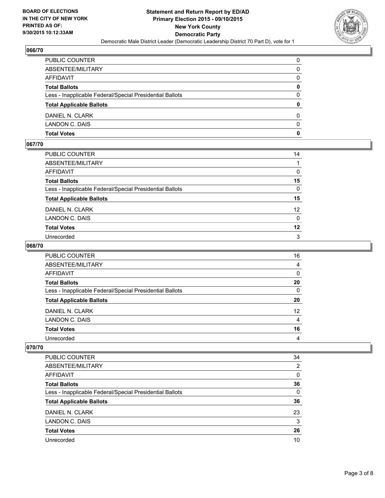

| PUBLIC COUNTER                                           | 0            |
|----------------------------------------------------------|--------------|
| ABSENTEE/MILITARY                                        | $\mathbf{0}$ |
| AFFIDAVIT                                                | 0            |
| Total Ballots                                            | 0            |
| Less - Inapplicable Federal/Special Presidential Ballots | 0            |
| <b>Total Applicable Ballots</b>                          | $\mathbf{0}$ |
| DANIEL N. CLARK                                          | 0            |
| LANDON C. DAIS                                           | $\Omega$     |
| Total Votes                                              | $\mathbf{0}$ |

# **067/70**

| PUBLIC COUNTER                                           | 14              |
|----------------------------------------------------------|-----------------|
| ABSENTEE/MILITARY                                        |                 |
| AFFIDAVIT                                                | 0               |
| Total Ballots                                            | 15              |
| Less - Inapplicable Federal/Special Presidential Ballots | $\Omega$        |
| <b>Total Applicable Ballots</b>                          | 15              |
| DANIEL N. CLARK                                          | 12 <sup>2</sup> |
| LANDON C. DAIS                                           | $\mathbf{0}$    |
| Total Votes                                              | 12              |
| Unrecorded                                               | 3               |
|                                                          |                 |

# **068/70**

| PUBLIC COUNTER                                           | 16              |
|----------------------------------------------------------|-----------------|
| ABSENTEE/MILITARY                                        | 4               |
| <b>AFFIDAVIT</b>                                         | $\Omega$        |
| <b>Total Ballots</b>                                     | 20              |
| Less - Inapplicable Federal/Special Presidential Ballots | 0               |
| <b>Total Applicable Ballots</b>                          | 20              |
| DANIEL N. CLARK                                          | 12 <sup>2</sup> |
| LANDON C. DAIS                                           | $\overline{4}$  |
| <b>Total Votes</b>                                       | 16              |
| Unrecorded                                               | 4               |

| <b>PUBLIC COUNTER</b>                                    | 34       |
|----------------------------------------------------------|----------|
| ABSENTEE/MILITARY                                        | 2        |
| <b>AFFIDAVIT</b>                                         | 0        |
| <b>Total Ballots</b>                                     | 36       |
| Less - Inapplicable Federal/Special Presidential Ballots | $\Omega$ |
| <b>Total Applicable Ballots</b>                          | 36       |
| DANIEL N. CLARK                                          | 23       |
| LANDON C. DAIS                                           | 3        |
| <b>Total Votes</b>                                       | 26       |
| Unrecorded                                               | 10       |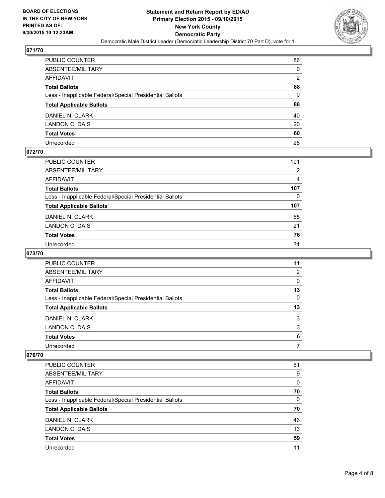

| PUBLIC COUNTER                                           | 86             |
|----------------------------------------------------------|----------------|
| ABSENTEE/MILITARY                                        | $\mathbf{0}$   |
| AFFIDAVIT                                                | $\overline{2}$ |
| Total Ballots                                            | 88             |
| Less - Inapplicable Federal/Special Presidential Ballots | $\mathbf{0}$   |
| <b>Total Applicable Ballots</b>                          | 88             |
| DANIEL N. CLARK                                          | 40             |
| LANDON C. DAIS                                           | 20             |
| <b>Total Votes</b>                                       | 60             |
| Unrecorded                                               | 28             |

# **072/70**

| PUBLIC COUNTER                                           | 101            |
|----------------------------------------------------------|----------------|
| ABSENTEE/MILITARY                                        | 2              |
| AFFIDAVIT                                                | $\overline{4}$ |
| Total Ballots                                            | 107            |
| Less - Inapplicable Federal/Special Presidential Ballots | 0              |
| <b>Total Applicable Ballots</b>                          | 107            |
| DANIEL N. CLARK                                          | 55             |
| LANDON C. DAIS                                           | 21             |
| <b>Total Votes</b>                                       | 76             |
| Unrecorded                                               | 31             |

## **073/70**

| PUBLIC COUNTER                                           | 11 |
|----------------------------------------------------------|----|
| ABSENTEE/MILITARY                                        | 2  |
| AFFIDAVIT                                                | 0  |
| <b>Total Ballots</b>                                     | 13 |
| Less - Inapplicable Federal/Special Presidential Ballots | 0  |
| <b>Total Applicable Ballots</b>                          | 13 |
| DANIEL N. CLARK                                          | 3  |
| LANDON C. DAIS                                           | 3  |
| <b>Total Votes</b>                                       | 6  |
| Unrecorded                                               |    |
|                                                          |    |

| <b>PUBLIC COUNTER</b>                                    | 61 |
|----------------------------------------------------------|----|
| ABSENTEE/MILITARY                                        | 9  |
| <b>AFFIDAVIT</b>                                         | 0  |
| <b>Total Ballots</b>                                     | 70 |
| Less - Inapplicable Federal/Special Presidential Ballots | 0  |
| <b>Total Applicable Ballots</b>                          | 70 |
| DANIEL N. CLARK                                          | 46 |
|                                                          |    |
| LANDON C. DAIS                                           | 13 |
| <b>Total Votes</b>                                       | 59 |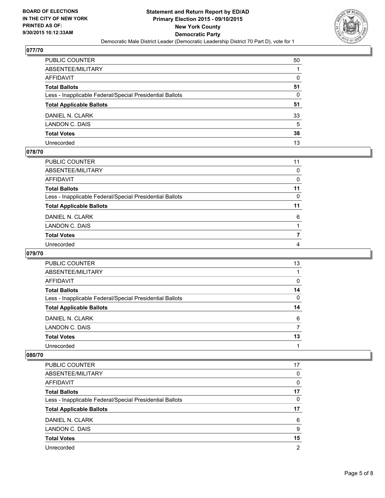

| PUBLIC COUNTER                                           | 50           |
|----------------------------------------------------------|--------------|
| ABSENTEE/MILITARY                                        |              |
| AFFIDAVIT                                                | 0            |
| Total Ballots                                            | 51           |
| Less - Inapplicable Federal/Special Presidential Ballots | $\mathbf{0}$ |
| <b>Total Applicable Ballots</b>                          | 51           |
| DANIEL N. CLARK                                          | 33           |
| LANDON C. DAIS                                           | 5            |
| <b>Total Votes</b>                                       | 38           |
| Unrecorded                                               | 13           |

# **078/70**

| PUBLIC COUNTER                                           | 11           |
|----------------------------------------------------------|--------------|
| ABSENTEE/MILITARY                                        | 0            |
| AFFIDAVIT                                                | 0            |
| Total Ballots                                            | 11           |
| Less - Inapplicable Federal/Special Presidential Ballots | $\mathbf{0}$ |
|                                                          | 11           |
| <b>Total Applicable Ballots</b>                          |              |
| DANIEL N. CLARK                                          | 6            |
| LANDON C. DAIS                                           |              |
| <b>Total Votes</b>                                       |              |
| Unrecorded                                               | 4            |

# **079/70**

| PUBLIC COUNTER                                           | 13 |
|----------------------------------------------------------|----|
| ABSENTEE/MILITARY                                        |    |
| AFFIDAVIT                                                | 0  |
| <b>Total Ballots</b>                                     | 14 |
| Less - Inapplicable Federal/Special Presidential Ballots | 0  |
| <b>Total Applicable Ballots</b>                          | 14 |
| DANIEL N. CLARK                                          | 6  |
| LANDON C. DAIS                                           |    |
| <b>Total Votes</b>                                       | 13 |
| Unrecorded                                               |    |
|                                                          |    |

| <b>PUBLIC COUNTER</b>                                    | 17 |
|----------------------------------------------------------|----|
| ABSENTEE/MILITARY                                        | 0  |
| <b>AFFIDAVIT</b>                                         | 0  |
| <b>Total Ballots</b>                                     | 17 |
| Less - Inapplicable Federal/Special Presidential Ballots | 0  |
| <b>Total Applicable Ballots</b>                          | 17 |
| DANIEL N. CLARK                                          | 6  |
| LANDON C. DAIS                                           | 9  |
|                                                          |    |
| <b>Total Votes</b>                                       | 15 |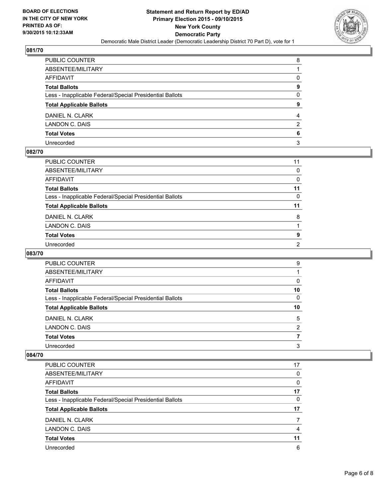

| PUBLIC COUNTER                                           | 8 |
|----------------------------------------------------------|---|
| ABSENTEE/MILITARY                                        |   |
| AFFIDAVIT                                                | 0 |
| Total Ballots                                            | 9 |
| Less - Inapplicable Federal/Special Presidential Ballots | 0 |
| <b>Total Applicable Ballots</b>                          | 9 |
| DANIEL N. CLARK                                          | 4 |
| LANDON C. DAIS                                           | 2 |
| <b>Total Votes</b>                                       | 6 |
| Unrecorded                                               | 3 |

# **082/70**

| PUBLIC COUNTER                                           | 11             |
|----------------------------------------------------------|----------------|
| ABSENTEE/MILITARY                                        | $\Omega$       |
| AFFIDAVIT                                                | 0              |
| <b>Total Ballots</b>                                     | 11             |
| Less - Inapplicable Federal/Special Presidential Ballots | 0              |
| <b>Total Applicable Ballots</b>                          | 11             |
| DANIEL N. CLARK                                          | 8              |
| LANDON C. DAIS                                           |                |
| <b>Total Votes</b>                                       | 9              |
| Unrecorded                                               | $\overline{2}$ |

#### **083/70**

| PUBLIC COUNTER                                           | 9  |
|----------------------------------------------------------|----|
| ABSENTEE/MILITARY                                        |    |
| AFFIDAVIT                                                | 0  |
| <b>Total Ballots</b>                                     | 10 |
| Less - Inapplicable Federal/Special Presidential Ballots | 0  |
| <b>Total Applicable Ballots</b>                          | 10 |
| DANIEL N. CLARK                                          | 5  |
| LANDON C. DAIS                                           | 2  |
| <b>Total Votes</b>                                       |    |
| Unrecorded                                               | 3  |
|                                                          |    |

| <b>PUBLIC COUNTER</b>                                    | 17 |
|----------------------------------------------------------|----|
| ABSENTEE/MILITARY                                        | 0  |
| <b>AFFIDAVIT</b>                                         | 0  |
| <b>Total Ballots</b>                                     | 17 |
| Less - Inapplicable Federal/Special Presidential Ballots | 0  |
| <b>Total Applicable Ballots</b>                          | 17 |
| DANIEL N. CLARK                                          |    |
| LANDON C. DAIS                                           | 4  |
| <b>Total Votes</b>                                       | 11 |
| Unrecorded                                               | 6  |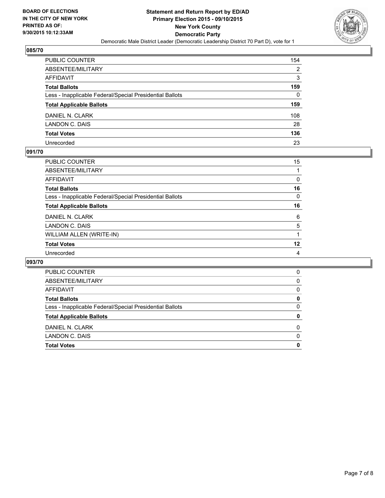

| PUBLIC COUNTER                                           | 154 |
|----------------------------------------------------------|-----|
| ABSENTEE/MILITARY                                        | 2   |
| AFFIDAVIT                                                | 3   |
| Total Ballots                                            | 159 |
| Less - Inapplicable Federal/Special Presidential Ballots | 0   |
| <b>Total Applicable Ballots</b>                          | 159 |
| DANIEL N. CLARK                                          | 108 |
| LANDON C. DAIS                                           | 28  |
| <b>Total Votes</b>                                       | 136 |
| Unrecorded                                               | 23  |

#### **091/70**

| PUBLIC COUNTER                                           | 15 <sup>15</sup> |
|----------------------------------------------------------|------------------|
| ABSENTEE/MILITARY                                        |                  |
| AFFIDAVIT                                                | 0                |
| <b>Total Ballots</b>                                     | 16               |
| Less - Inapplicable Federal/Special Presidential Ballots | 0                |
| <b>Total Applicable Ballots</b>                          | 16               |
| DANIEL N. CLARK                                          | 6                |
| LANDON C. DAIS                                           | 5                |
| WILLIAM ALLEN (WRITE-IN)                                 | 1                |
| <b>Total Votes</b>                                       | 12               |
| Unrecorded                                               | 4                |

| <b>PUBLIC COUNTER</b>                                    | 0        |
|----------------------------------------------------------|----------|
| ABSENTEE/MILITARY                                        | 0        |
| AFFIDAVIT                                                | 0        |
| <b>Total Ballots</b>                                     | 0        |
| Less - Inapplicable Federal/Special Presidential Ballots | 0        |
| <b>Total Applicable Ballots</b>                          | 0        |
| DANIEL N. CLARK                                          | $\Omega$ |
| LANDON C. DAIS                                           | $\Omega$ |
| <b>Total Votes</b>                                       | 0        |
|                                                          |          |